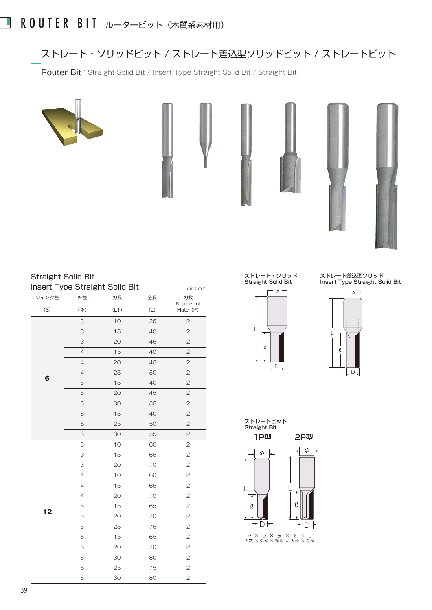# ROUTER BIT ルータービット (木質系素材用)

#### ストレート・ソリッドビット / ストレート差込型ソリッドビット / ストレートビット

Router Bit: Straight Solid Bit / Insert Type Straight Solid Bit / Straight Bit







### Straight Solid Bit

|       |                | Insert Type Straight Solid Bit |     | unit: mm               |
|-------|----------------|--------------------------------|-----|------------------------|
| シャンク径 | 外径             | 刃長                             | 全長  | 刃数                     |
| (S)   | $(\Phi)$       | (L1)                           | (L) | Number of<br>Flute (P) |
|       | 3              | 10                             | 35  | $\mathbf{2}$           |
|       | 3              | 15                             | 40  | $\mathbf{Z}$           |
|       | 3              | 20                             | 45  | $\overline{c}$         |
|       | $\overline{4}$ | 15                             | 40  | $\mathbf{2}$           |
|       | $\overline{4}$ | 20                             | 45  | $\overline{c}$         |
| 6     | $\overline{4}$ | 25                             | 50  | $\mathbf{Z}$           |
|       | 5              | 15                             | 40  | $\mathbf{2}$           |
|       | 5              | 20                             | 45  | $\mathbf{2}$           |
|       | 5              | 30                             | 55  | $\overline{c}$         |
|       | 6              | 15                             | 40  | $\mathbf{Z}$           |
|       | 6              | 25                             | 50  | $\mathbf{2}$           |
|       | 6              | 30                             | 55  | $\overline{c}$         |
|       | 3              | 10                             | 60  | 2                      |
|       | 3              | 15                             | 65  | $\overline{c}$         |
|       | 3              | 20                             | 70  | 2                      |
|       | $\overline{4}$ | 10                             | 60  | $\mathbf{2}$           |
|       | 4              | 15                             | 65  | $\mathfrak 2$          |
|       | $\overline{4}$ | 20                             | 70  | $\overline{c}$         |
|       | 5              | 15                             | 65  | $\mathbf{2}$           |
| 12    | 5              | 20                             | 70  | $\mathbf{2}$           |
|       | 5              | 25                             | 75  | $\mathbf{Z}$           |
|       | 6              | 15                             | 65  | 2                      |
|       | 6              | 20                             | 70  | $\mathbf{2}$           |
|       | 6              | 30                             | 80  | $\mathfrak 2$          |
|       | 6              | 25                             | 75  | $\mathbf{2}$           |
|       | 6              | 30                             | 80  | $\mathfrak 2$          |

#### ストレート・ソリッド Straight Solid Bit



ストレート差込型ソリッド Insert Type Straight Solid Bit





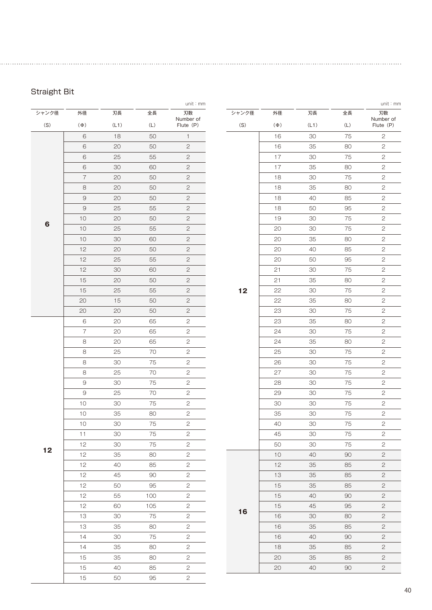### Straight Bit

|       |                |      |     | unit:mm         |       |          |      |     | unit : mm       |
|-------|----------------|------|-----|-----------------|-------|----------|------|-----|-----------------|
| シャンク径 | 外径             | 刃長   | 全長  | 刃数<br>Number of | シャンク径 | 外径       | 刃長   | 全長  | 刃数<br>Number of |
| (S)   | $(\Phi)$       | (L1) | (L) | Flute (P)       | (S)   | $(\Phi)$ | (L1) | (L) | Flute (P)       |
|       | 6              | 18   | 50  | $\mathbf{1}$    |       | 16       | 30   | 75  | $\sqrt{2}$      |
|       | 6              | 20   | 50  | $\mathbf{2}$    |       | 16       | 35   | 80  | $\sqrt{2}$      |
|       | 6              | 25   | 55  | $\mathbf{2}$    |       | 17       | 30   | 75  | $\sqrt{2}$      |
|       | $\,6$          | 30   | 60  | $\sqrt{2}$      |       | 17       | 35   | 80  | $\sqrt{2}$      |
|       | $\overline{7}$ | 20   | 50  | $\mathbf{2}$    |       | 18       | 30   | 75  | $\mathbf{2}$    |
|       | 8              | 20   | 50  | $\mathbf{2}$    |       | 18       | 35   | 80  | $\sqrt{2}$      |
|       | $\Theta$       | 20   | 50  | $\mathbf{2}$    |       | 18       | 40   | 85  | $\sqrt{2}$      |
|       | $\Theta$       | 25   | 55  | $\mathbf{2}$    |       | 18       | 50   | 95  | $\sqrt{2}$      |
| 6     | 10             | 20   | 50  | $\sqrt{2}$      |       | 19       | 30   | 75  | $\sqrt{2}$      |
|       | 10             | 25   | 55  | $\sqrt{2}$      |       | 20       | 30   | 75  | $\mathbf{2}$    |
|       | 10             | 30   | 60  | $\mathbf{2}$    |       | 20       | 35   | 80  | $\mathbf{2}$    |
|       | 12             | 20   | 50  | $\sqrt{2}$      |       | 20       | 40   | 85  | $\sqrt{2}$      |
|       | 12             | 25   | 55  | $\mathbf{2}$    |       | 20       | 50   | 95  | $\sqrt{2}$      |
|       | 12             | 30   | 60  | $\mathbf{2}$    |       | 21       | 30   | 75  | $\mathbf{2}$    |
|       | 15             | 20   | 50  | $\sqrt{2}$      |       | 21       | 35   | 80  | $\mathbf{2}$    |
|       | 15             | 25   | 55  | $\mathbf{2}$    | 12    | 22       | 30   | 75  | $\mathbf{2}$    |
|       | 20             | 15   | 50  | $\mathbf{2}$    |       | 22       | 35   | 80  | $\sqrt{2}$      |
|       | 20             | 20   | 50  | $\mathbf{2}$    |       | 23       | 30   | 75  | $\sqrt{2}$      |
|       | 6              | 20   | 65  | $\mathbf{2}$    |       | 23       | 35   | 80  | $\sqrt{2}$      |
|       | $\overline{7}$ | 20   | 65  | $\mathbf{Z}$    |       | 24       | 30   | 75  | $\sqrt{2}$      |
|       | 8              | 20   | 65  | $\sqrt{2}$      |       | 24       | 35   | 80  | $\mathbf{2}$    |
|       | 8              | 25   | 70  | $\sqrt{2}$      |       | 25       | 30   | 75  | $\mathbf{2}$    |
|       | $\,8\,$        | 30   | 75  | $\sqrt{2}$      |       | 26       | 30   | 75  | $\sqrt{2}$      |
|       | 8              | 25   | 70  | $\sqrt{2}$      |       | 27       | 30   | 75  | $\sqrt{2}$      |
|       | $\Theta$       | 30   | 75  | $\sqrt{2}$      |       | 28       | 30   | 75  | $\mathbf{2}$    |
|       | $\Theta$       | 25   | 70  | $\mathbf{2}$    |       | 29       | 30   | 75  | $\sqrt{2}$      |
|       | 10             | 30   | 75  | $\sqrt{2}$      |       | 30       | 30   | 75  | $\mathbf{2}$    |
|       | 10             | 35   | 80  | $\mathbf{2}$    |       | 35       | 30   | 75  | $\sqrt{2}$      |
|       | 10             | 30   | 75  | 2               |       | 40       | 30   | 75  | $\mathbf{2}$    |
|       | 11             | 30   | 75  | $\mathbf{2}$    |       | 45       | 30   | 75  | $\mathbf{2}$    |
| 12    | 12             | 30   | 75  | $\mathbf{S}$    |       | 50       | 30   | 75  | $\mathbf{2}$    |
|       | 12             | 35   | 80  | $\mathbf{S}$    |       | 10       | 40   | 90  | $\overline{c}$  |
|       | 12             | 40   | 85  | $\mathbf{2}$    |       | 12       | 35   | 85  | $\mathbf{2}$    |
|       | 12             | 45   | 90  | $\mathbf{2}$    |       | 13       | 35   | 85  | $\overline{c}$  |
|       | 12             | 50   | 95  | $\mathbf{2}$    |       | 15       | 35   | 85  | $\mathbf{2}$    |
|       | 12             | 55   | 100 | $\mathbf{2}$    |       | 15       | 40   | 90  | $\mathbf{2}$    |
|       | 12             | 60   | 105 | $\mathbf{2}$    |       | 15       | 45   | 95  | $\mathbf{2}$    |
|       | 13             | 30   | 75  | $\mathbf{2}$    | 16    | 16       | 30   | 80  | $\mathbf{2}$    |
|       | 13             | 35   | 80  | $\mathbf{2}$    |       | 16       | 35   | 85  | $\mathbf{2}$    |
|       | 14             | 30   | 75  | $\mathbf{2}$    |       | 16       | 40   | 90  | $\overline{c}$  |
|       | 14             | 35   | 80  | $\mathbf{2}$    |       | 18       | 35   | 85  | $\mathbf{2}$    |
|       | 15             | 35   | 80  | $\sqrt{2}$      |       | 20       | 35   | 85  | $\mathbf{2}$    |
|       | 15             | 40   | 85  | $\mathbf{2}$    |       | 20       | 40   | 90  | $\mathbf{2}$    |
|       | 15             | 50   | 95  | $\overline{2}$  |       |          |      |     |                 |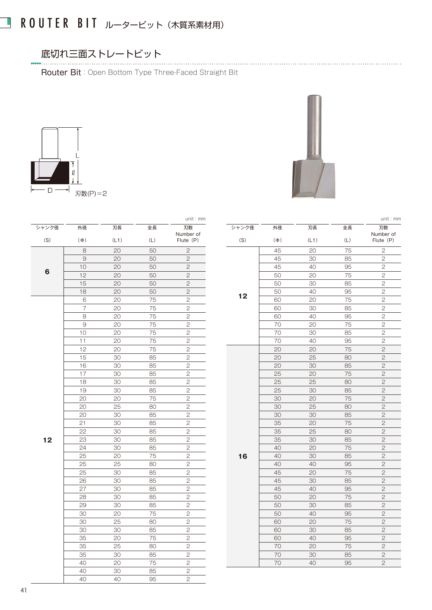# ■ ROUTER BIT ルータービット (木質系素材用)

#### 底切れ三面ストレートビット

Router Bit:Open Bottom Type Three-Faced Straight Bit





|       |                |      |     | unit: mm        |       |          |      |     | unit: mm        |
|-------|----------------|------|-----|-----------------|-------|----------|------|-----|-----------------|
| シャンク径 | 外径             | 刃長   | 全長  | 刃数<br>Number of | シャンク径 | 外径       | 刃長   | 全長  | 刃数<br>Number of |
| (S)   | $(\Phi)$       | (L1) | (L) | Flute (P)       | (S)   | $(\Phi)$ | (L1) | (L) | Flute (P)       |
|       | 8              | 20   | 50  | $\mathbf{2}$    |       | 45       | 20   | 75  | $\mathbf{2}$    |
|       | $\Theta$       | 20   | 50  | $\overline{c}$  |       | 45       | 30   | 85  | $\overline{c}$  |
|       | 10             | 20   | 50  | $\mathbf{2}$    |       | 45       | 40   | 95  | $\mathbf{Z}$    |
| 6     | 12             | 20   | 50  | $\overline{c}$  |       | 50       | 20   | 75  | $\mathbf{2}$    |
|       | 15             | 20   | 50  | $\overline{c}$  |       | 50       | 30   | 85  | $\overline{c}$  |
|       | 18             | 20   | 50  | $\mathbf{2}$    | 12    | 50       | 40   | 95  | $\sqrt{2}$      |
|       | 6              | 20   | 75  | $\mathbf{2}$    |       | 60       | 20   | 75  | $\mathbf{2}$    |
|       | $\overline{7}$ | 20   | 75  | $\mathbf{2}$    |       | 60       | 30   | 85  | $\overline{c}$  |
|       | 8              | 20   | 75  | $\mathbf{2}$    |       | 60       | 40   | 95  | $\sqrt{2}$      |
|       | $\Theta$       | 20   | 75  | $\overline{c}$  |       | 70       | 20   | 75  | $\overline{c}$  |
|       | 10             | 20   | 75  | $\overline{c}$  |       | 70       | 30   | 85  | $\mathbf{2}$    |
|       | 11             | 20   | 75  | $\mathbf{2}$    |       | 70       | 40   | 95  | 2               |
|       | 12             | 20   | 75  | $\overline{c}$  |       | 20       | 20   | 75  | $\mathbf{2}$    |
|       | 15             | 30   | 85  | $\sqrt{2}$      |       | 20       | 25   | 80  | $\sqrt{2}$      |
|       | 16             | 30   | 85  | $\mathbf{2}$    |       | 20       | 30   | 85  | $\mathbf{2}$    |
|       | 17             | 30   | 85  | $\overline{c}$  |       | 25       | 20   | 75  | $\overline{c}$  |
|       | 18             | 30   | 85  | $\mathbf{2}$    |       | 25       | 25   | 80  | $\mathbf{2}$    |
|       | 19             | 30   | 85  | $\mathbf{2}$    |       | 25       | 30   | 85  | $\mathbf{2}$    |
|       | 20             | 20   | 75  | $\mathbf{2}$    |       | 30       | 20   | 75  | $\mathbf{2}$    |
|       | 20             | 25   | 80  | $\overline{c}$  |       | 30       | 25   | 80  | $\overline{c}$  |
|       | 20             | 30   | 85  | $\overline{c}$  |       | 30       | 30   | 85  | $\overline{c}$  |
|       | 21             | 30   | 85  | $\sqrt{2}$      |       | 35       | 20   | 75  | $\mathbf{2}$    |
|       | 22             | 30   | 85  | $\mathbf{2}$    |       | 35       | 25   | 80  | $\mathbf{2}$    |
| 12    | 23             | 30   | 85  | $\overline{c}$  |       | 35       | 30   | 85  | $\overline{c}$  |
|       | 24             | 30   | 85  | $\sqrt{2}$      |       | 40       | 20   | 75  | $\sqrt{2}$      |
|       | 25             | 20   | 75  | $\overline{c}$  | 16    | 40       | 30   | 85  | $\overline{c}$  |
|       | 25             | 25   | 80  | $\overline{2}$  |       | 40       | 40   | 95  | $\mathbf{2}$    |
|       | 25             | 30   | 85  | $\mathbf{2}$    |       | 45       | 20   | 75  | $\mathbf{2}$    |
|       | 26             | 30   | 85  | $\overline{c}$  |       | 45       | 30   | 85  | $\overline{c}$  |
|       | 27             | 30   | 85  | $\overline{2}$  |       | 45       | 40   | 95  | $\sqrt{2}$      |
|       | 28             | 30   | 85  | $\mathbf{2}$    |       | 50       | 20   | 75  | $\sqrt{2}$      |
|       | 29             | 30   | 85  | $\overline{2}$  |       | 50       | 30   | 85  | $\mathbf{2}$    |
|       | 30             | 20   | 75  | $\mathbf{2}$    |       | 50       | 40   | 95  | $\overline{c}$  |
|       | 30             | 25   | 80  | $\overline{c}$  |       | 60       | 20   | 75  | $\mathbf{2}$    |
|       | 30             | 30   | 85  | $\mathbf{2}$    |       | 60       | 30   | 85  | $\mathbf{2}$    |
|       | 35             | 20   | 75  | $\overline{c}$  |       | 60       | 40   | 95  | $\mathbf{2}$    |
|       | 35             | 25   | 80  | $\mathbf{2}$    |       | 70       | 20   | 75  | $\mathbf{2}$    |
|       | 35             | 30   | 85  | $\sqrt{2}$      |       | 70       | 30   | 85  | $\sqrt{2}$      |
|       | 40             | 20   | 75  | $\mathbf{2}$    |       | 70       | 40   | 95  | $\overline{c}$  |
|       | 40             | 30   | 85  | $\overline{c}$  |       |          |      |     |                 |
|       | 40             | 40   | 95  | $\overline{2}$  |       |          |      |     |                 |

| シャンク径 | 外径       | 刃長   | 全長  | 刃数<br>Number of |
|-------|----------|------|-----|-----------------|
| (S)   | $(\Phi)$ | (L1) | (L) | Flute (P)       |
|       | 45       | 20   | 75  | 2               |
|       | 45       | 30   | 85  | $\mathbf{2}$    |
|       | 45       | 40   | 95  | $\overline{c}$  |
|       | 50       | 20   | 75  | $\overline{c}$  |
|       | 50       | 30   | 85  | 2               |
| 12    | 50       | 40   | 95  | $\overline{c}$  |
|       | 60       | 20   | 75  | $\overline{c}$  |
|       | 60       | 30   | 85  | $\overline{c}$  |
|       | 60       | 40   | 95  | $\overline{c}$  |
|       | 70       | 20   | 75  | $\overline{c}$  |
|       | 70       | 30   | 85  | $\mathbf{2}$    |
|       | 70       | 40   | 95  | $\overline{2}$  |
|       | 20       | 20   | 75  | $\overline{c}$  |
|       | 20       | 25   | 80  | $\overline{c}$  |
|       | 20       | 30   | 85  | $\mathbf{2}$    |
|       | 25       | 20   | 75  | $\overline{c}$  |
|       | 25       | 25   | 80  | 2               |
|       | 25       | 30   | 85  | $\overline{c}$  |
|       | 30       | 20   | 75  | $\overline{2}$  |
|       | 30       | 25   | 80  | $\mathbf{2}$    |
|       | 30       | 30   | 85  | $\overline{c}$  |
|       | 35       | 20   | 75  | $\overline{c}$  |
|       | 35       | 25   | 80  | $\overline{c}$  |
|       | 35       | 30   | 85  | 2               |
|       | 40       | 20   | 75  | $\overline{c}$  |
| 16    | 40       | 30   | 85  | $\overline{2}$  |
|       | 40       | 40   | 95  | $\overline{c}$  |
|       | 45       | 20   | 75  | $\overline{c}$  |
|       | 45       | 30   | 85  | $\overline{c}$  |
|       | 45       | 40   | 95  | 2               |
|       | 50       | 20   | 75  | 2               |
|       | 50       | 30   | 85  | $\overline{c}$  |
|       | 50       | 40   | 95  | 2               |
|       | 60       | 20   | 75  | $\mathbf{2}$    |
|       | 60       | 30   | 85  | $\overline{2}$  |
|       | 60       | 40   | 95  | $\overline{c}$  |
|       | 70       | 20   | 75  | $\overline{c}$  |
|       | 70       | 30   | 85  | $\mathbf{2}$    |
|       | 70       | 40   | 95  | $\overline{c}$  |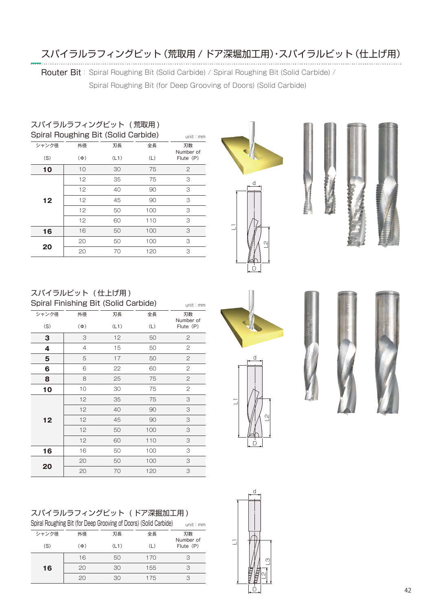# スパイラルラフィングビット(荒取用 / ドア深堀加工用)・スパイラルビット(仕上げ用)

Router Bit: Spiral Roughing Bit (Solid Carbide) / Spiral Roughing Bit (Solid Carbide) /

Spiral Roughing Bit (for Deep Grooving of Doors) (Solid Carbide)

#### スパイラルラフィングビット ( 荒取用 ) Spiral Roughing Bit (Solid Carbide)

| Spiral Ruughing Bit (Suild Carbide) | unit $: \mathsf{mm}$ |      |     |                 |
|-------------------------------------|----------------------|------|-----|-----------------|
| シャンク径                               | 外径                   | 刃長   | 全長  | 刃数<br>Number of |
| (S)                                 | $(\Phi)$             | (L1) | (L) | Flute (P)       |
| 10                                  | 10                   | 30   | 75  | 2               |
| 12                                  | 12                   | 35   | 75  | 3               |
|                                     | 12                   | 40   | 90  | 3               |
|                                     | 12                   | 45   | 90  | 3               |
|                                     | 12                   | 50   | 100 | 3               |
|                                     | 12                   | 60   | 110 | 3               |
| 16                                  | 16                   | 50   | 100 | 3               |
|                                     | 20                   | 50   | 100 | 3               |
| 20                                  | 20                   | 70   | 120 | 3               |
|                                     |                      |      |     |                 |







## スパイラルビット ( 仕上げ用 )

| Spiral Finishing Bit (Solid Carbide) | unit: mm       |      |     |                 |
|--------------------------------------|----------------|------|-----|-----------------|
| シャンク径                                | 外径             | 刃長   | 全長  | 刃数<br>Number of |
| (S)                                  | $(\Phi)$       | (L1) | (L) | Flute (P)       |
| 3                                    | 3              | 12   | 50  | 2               |
| 4                                    | $\overline{4}$ | 15   | 50  | 2               |
| 5                                    | 5              | 17   | 50  | 2               |
| 6                                    | 6              | 22   | 60  | 2               |
| 8                                    | 8              | 25   | 75  | $\mathbf{2}$    |
| 10                                   | 10             | 30   | 75  | 2               |
|                                      | 12             | 35   | 75  | 3               |
|                                      | 12             | 40   | 90  | 3               |
| 12                                   | 12             | 45   | 90  | 3               |
|                                      | 12             | 50   | 100 | 3               |
|                                      | 12             | 60   | 110 | 3               |
| 16                                   | 16             | 50   | 100 | 3               |
| 20                                   | 20             | 50   | 100 | 3               |
|                                      | 20             | 70   | 120 | 3               |

| スパイラルラフィングビット (ドア深掘加工用) |  |
|-------------------------|--|
|                         |  |

| Spiral Roughing Bit (for Deep Grooving of Doors) (Solid Carbide) | unit: $mm$ |      |     |                 |
|------------------------------------------------------------------|------------|------|-----|-----------------|
| シャンク径                                                            | 外径         | 刃長   | 全長  | 刃数<br>Number of |
| (S)                                                              | $(\Phi)$   | (L1) | (L) | Flute (P)       |
|                                                                  | 16         | 50   | 170 | 3               |
| 16                                                               | 20         | 30   | 155 | 3               |
|                                                                  | 20         | 30   | 175 |                 |











D

 $\overline{\phantom{a}}$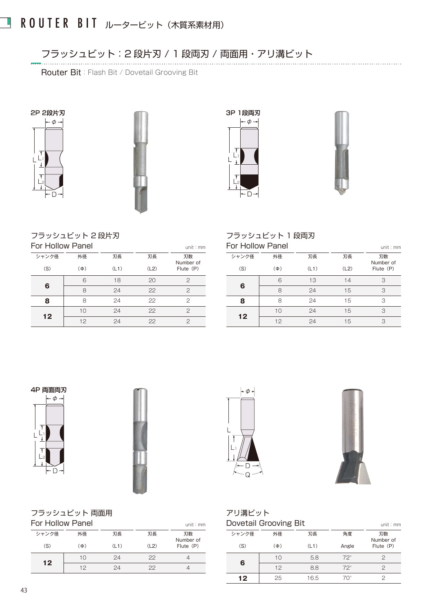フラッシュビット:2 段片刃 / 1 段両刃 / 両面用・アリ溝ビット 

Router Bit: Flash Bit / Dovetail Grooving Bit









### フラッシュビット 2 段片刃

| For Hollow Panel |          |      |      | unit: mm        |
|------------------|----------|------|------|-----------------|
| シャンク径            | 外径       | 刃長   | 刃長   | 刃数<br>Number of |
| (S)              | $(\Phi)$ | (L1) | (L2) | Flute (P)       |
| 6                | 6        | 18   | 20   | 2               |
|                  | 8        | 24   | 22   | 2               |
| 8                | 8        | 24   | 22   | 2               |
| 12               | 10       | 24   | 22   | 2               |
|                  | 12       | 24   | 22   | 2               |

## フラッシュビット 1 段両刃

| For Hollow Panel |          |      |      | unit: $mm$      |
|------------------|----------|------|------|-----------------|
| シャンク径            | 外径       | 刃長   | 刃長   | 刃数<br>Number of |
| (S)              | $(\Phi)$ | (L1) | (L2) | Flute (P)       |
| ุค               | 6        | 13   | 14   | З               |
|                  | 8        | 24   | 15   | З               |
| R                | Я        | 24   | 15   | З               |
| 12               | 10       | 24   | 15   | З               |
|                  | 12       | 24   | 15   | З               |

### 4P 両面両刃





フラッシュビット 両面用

| For Hollow Panel  |          |      |      | unit: $mm$      |
|-------------------|----------|------|------|-----------------|
| シャンク径             | 外径       | 刃長   | 刃長   | 刃数<br>Number of |
| (S)               | $(\Phi)$ | (L1) | (L2) | Flute (P)       |
|                   | 10       | 24   | 22   |                 |
| $12 \ \mathsf{ }$ | 12       | 24   | 22   |                 |





#### アリ溝ビット Dovetail Grooving Bit

|       | <b>DOVETAIL QLOOVILIS DIT</b> |      |            | unit: $mm$      |
|-------|-------------------------------|------|------------|-----------------|
| シャンク径 | 外径                            | 刃長   | 角度         | 刃数<br>Number of |
| (S)   | $(\Phi)$                      | (L1) | Angle      | Flute (P)       |
|       | 10                            | 5.8  | $72^\circ$ |                 |
| 6     | 12                            | 8.8  | $72^\circ$ |                 |
| 12    | 25                            | 16.5 | 70°        |                 |